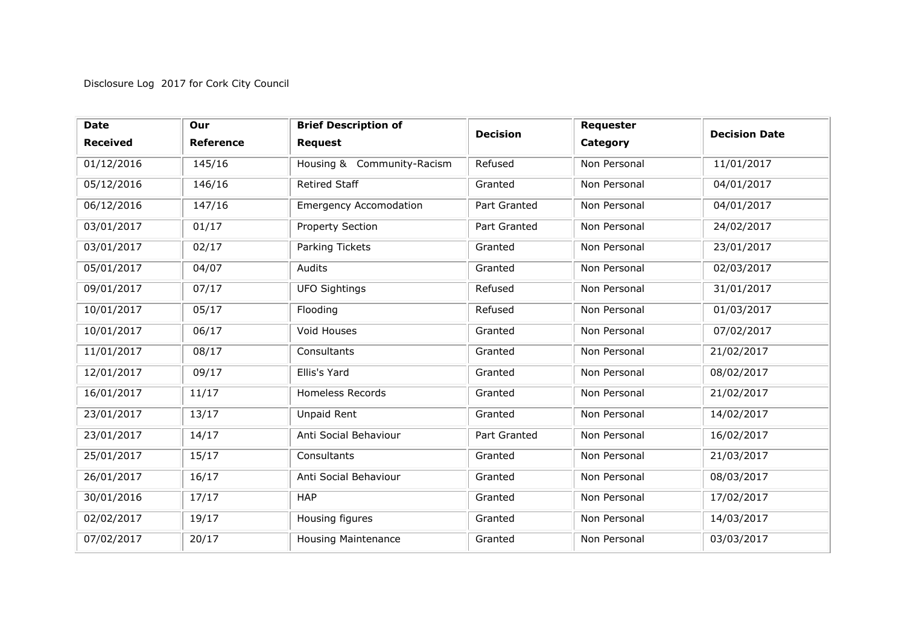## Disclosure Log 2017 for Cork City Council

| <b>Date</b>     | Our              | <b>Brief Description of</b>   | <b>Decision</b> | Requester    | <b>Decision Date</b> |
|-----------------|------------------|-------------------------------|-----------------|--------------|----------------------|
| <b>Received</b> | <b>Reference</b> | <b>Request</b>                |                 | Category     |                      |
| 01/12/2016      | 145/16           | Housing & Community-Racism    | Refused         | Non Personal | 11/01/2017           |
| 05/12/2016      | 146/16           | <b>Retired Staff</b>          | Granted         | Non Personal | 04/01/2017           |
| 06/12/2016      | 147/16           | <b>Emergency Accomodation</b> | Part Granted    | Non Personal | 04/01/2017           |
| 03/01/2017      | 01/17            | Property Section              | Part Granted    | Non Personal | 24/02/2017           |
| 03/01/2017      | 02/17            | Parking Tickets               | Granted         | Non Personal | 23/01/2017           |
| 05/01/2017      | 04/07            | Audits                        | Granted         | Non Personal | 02/03/2017           |
| 09/01/2017      | 07/17            | <b>UFO Sightings</b>          | Refused         | Non Personal | 31/01/2017           |
| 10/01/2017      | 05/17            | Flooding                      | Refused         | Non Personal | 01/03/2017           |
| 10/01/2017      | 06/17            | Void Houses                   | Granted         | Non Personal | 07/02/2017           |
| 11/01/2017      | 08/17            | Consultants                   | Granted         | Non Personal | 21/02/2017           |
| 12/01/2017      | 09/17            | Ellis's Yard                  | Granted         | Non Personal | 08/02/2017           |
| 16/01/2017      | 11/17            | <b>Homeless Records</b>       | Granted         | Non Personal | 21/02/2017           |
| 23/01/2017      | 13/17            | Unpaid Rent                   | Granted         | Non Personal | 14/02/2017           |
| 23/01/2017      | 14/17            | Anti Social Behaviour         | Part Granted    | Non Personal | 16/02/2017           |
| 25/01/2017      | 15/17            | Consultants                   | Granted         | Non Personal | 21/03/2017           |
| 26/01/2017      | 16/17            | Anti Social Behaviour         | Granted         | Non Personal | 08/03/2017           |
| 30/01/2016      | 17/17            | <b>HAP</b>                    | Granted         | Non Personal | 17/02/2017           |
| 02/02/2017      | 19/17            | Housing figures               | Granted         | Non Personal | 14/03/2017           |
| 07/02/2017      | 20/17            | <b>Housing Maintenance</b>    | Granted         | Non Personal | 03/03/2017           |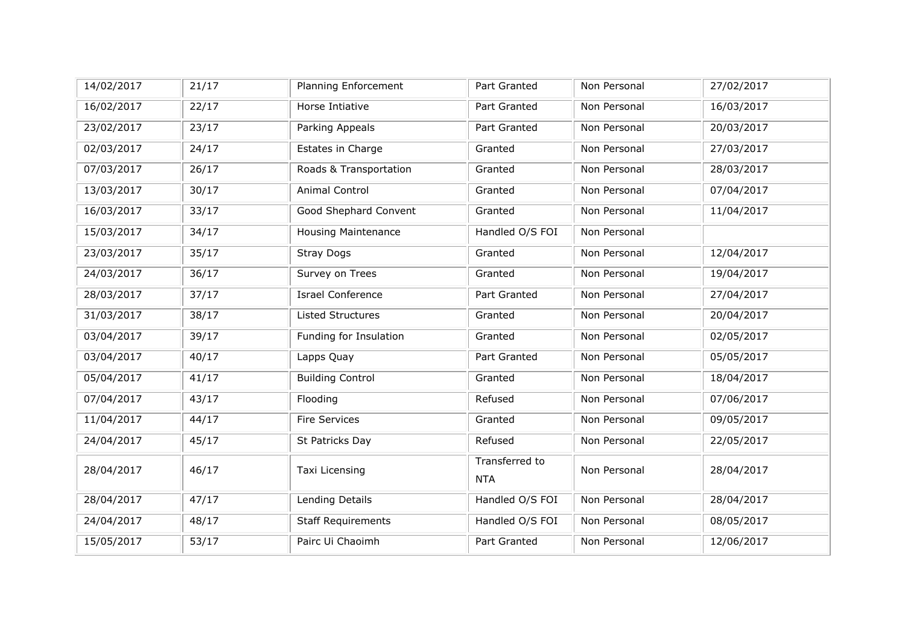| 14/02/2017 | 21/17 | Planning Enforcement       | Part Granted                 | Non Personal | 27/02/2017 |
|------------|-------|----------------------------|------------------------------|--------------|------------|
| 16/02/2017 | 22/17 | Horse Intiative            | Part Granted                 | Non Personal | 16/03/2017 |
| 23/02/2017 | 23/17 | Parking Appeals            | Part Granted                 | Non Personal | 20/03/2017 |
| 02/03/2017 | 24/17 | Estates in Charge          | Granted                      | Non Personal | 27/03/2017 |
| 07/03/2017 | 26/17 | Roads & Transportation     | Granted                      | Non Personal | 28/03/2017 |
| 13/03/2017 | 30/17 | Animal Control             | Granted                      | Non Personal | 07/04/2017 |
| 16/03/2017 | 33/17 | Good Shephard Convent      | Granted                      | Non Personal | 11/04/2017 |
| 15/03/2017 | 34/17 | <b>Housing Maintenance</b> | Handled O/S FOI              | Non Personal |            |
| 23/03/2017 | 35/17 | <b>Stray Dogs</b>          | Granted                      | Non Personal | 12/04/2017 |
| 24/03/2017 | 36/17 | Survey on Trees            | Granted                      | Non Personal | 19/04/2017 |
| 28/03/2017 | 37/17 | <b>Israel Conference</b>   | Part Granted                 | Non Personal | 27/04/2017 |
| 31/03/2017 | 38/17 | <b>Listed Structures</b>   | Granted                      | Non Personal | 20/04/2017 |
| 03/04/2017 | 39/17 | Funding for Insulation     | Granted                      | Non Personal | 02/05/2017 |
| 03/04/2017 | 40/17 | Lapps Quay                 | Part Granted                 | Non Personal | 05/05/2017 |
| 05/04/2017 | 41/17 | <b>Building Control</b>    | Granted                      | Non Personal | 18/04/2017 |
| 07/04/2017 | 43/17 | Flooding                   | Refused                      | Non Personal | 07/06/2017 |
| 11/04/2017 | 44/17 | <b>Fire Services</b>       | Granted                      | Non Personal | 09/05/2017 |
| 24/04/2017 | 45/17 | St Patricks Day            | Refused                      | Non Personal | 22/05/2017 |
| 28/04/2017 | 46/17 | Taxi Licensing             | Transferred to<br><b>NTA</b> | Non Personal | 28/04/2017 |
| 28/04/2017 | 47/17 | Lending Details            | Handled O/S FOI              | Non Personal | 28/04/2017 |
| 24/04/2017 | 48/17 | <b>Staff Requirements</b>  | Handled O/S FOI              | Non Personal | 08/05/2017 |
| 15/05/2017 | 53/17 | Pairc Ui Chaoimh           | Part Granted                 | Non Personal | 12/06/2017 |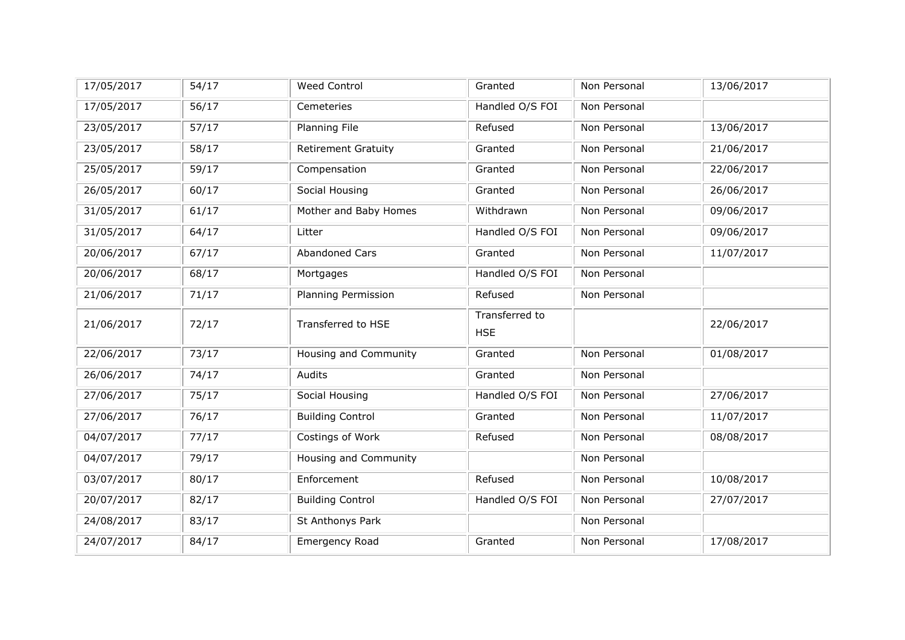| 17/05/2017 | 54/17 | <b>Weed Control</b>          | Granted                      | Non Personal | 13/06/2017 |
|------------|-------|------------------------------|------------------------------|--------------|------------|
| 17/05/2017 | 56/17 | Cemeteries                   | Handled O/S FOI              | Non Personal |            |
| 23/05/2017 | 57/17 | Planning File                | Refused                      | Non Personal | 13/06/2017 |
| 23/05/2017 | 58/17 | <b>Retirement Gratuity</b>   | Granted                      | Non Personal | 21/06/2017 |
| 25/05/2017 | 59/17 | Compensation                 | Granted                      | Non Personal | 22/06/2017 |
| 26/05/2017 | 60/17 | Social Housing               | Granted                      | Non Personal | 26/06/2017 |
| 31/05/2017 | 61/17 | Mother and Baby Homes        | Withdrawn                    | Non Personal | 09/06/2017 |
| 31/05/2017 | 64/17 | Litter                       | Handled O/S FOI              | Non Personal | 09/06/2017 |
| 20/06/2017 | 67/17 | <b>Abandoned Cars</b>        | Granted                      | Non Personal | 11/07/2017 |
| 20/06/2017 | 68/17 | Mortgages                    | Handled O/S FOI              | Non Personal |            |
| 21/06/2017 | 71/17 | Planning Permission          | Refused                      | Non Personal |            |
| 21/06/2017 | 72/17 | Transferred to HSE           | Transferred to<br><b>HSE</b> |              | 22/06/2017 |
| 22/06/2017 | 73/17 | <b>Housing and Community</b> | Granted                      | Non Personal | 01/08/2017 |
| 26/06/2017 | 74/17 | Audits                       | Granted                      | Non Personal |            |
| 27/06/2017 | 75/17 | Social Housing               | Handled O/S FOI              | Non Personal | 27/06/2017 |
| 27/06/2017 | 76/17 | <b>Building Control</b>      | Granted                      | Non Personal | 11/07/2017 |
| 04/07/2017 | 77/17 | Costings of Work             | Refused                      | Non Personal | 08/08/2017 |
| 04/07/2017 | 79/17 | Housing and Community        |                              | Non Personal |            |
| 03/07/2017 | 80/17 | Enforcement                  | Refused                      | Non Personal | 10/08/2017 |
| 20/07/2017 | 82/17 | <b>Building Control</b>      | Handled O/S FOI              | Non Personal | 27/07/2017 |
| 24/08/2017 | 83/17 | St Anthonys Park             |                              | Non Personal |            |
| 24/07/2017 | 84/17 | Emergency Road               | Granted                      | Non Personal | 17/08/2017 |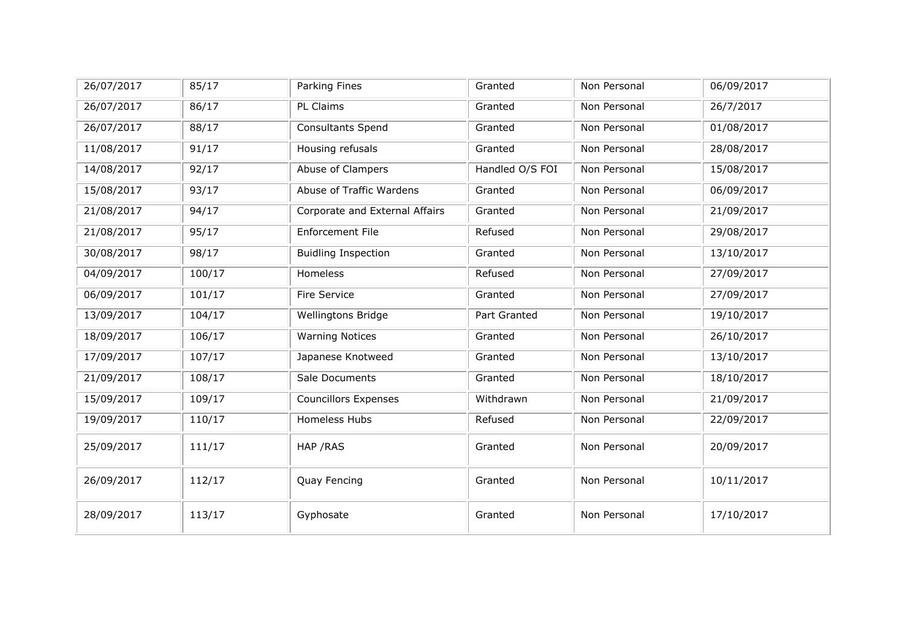| 26/07/2017 | 85/17  | Parking Fines                  | Granted         | Non Personal | 06/09/2017 |
|------------|--------|--------------------------------|-----------------|--------------|------------|
| 26/07/2017 | 86/17  | PL Claims                      | Granted         | Non Personal | 26/7/2017  |
| 26/07/2017 | 88/17  | Consultants Spend              | Granted         | Non Personal | 01/08/2017 |
| 11/08/2017 | 91/17  | Housing refusals               | Granted         | Non Personal | 28/08/2017 |
| 14/08/2017 | 92/17  | Abuse of Clampers              | Handled O/S FOI | Non Personal | 15/08/2017 |
| 15/08/2017 | 93/17  | Abuse of Traffic Wardens       | Granted         | Non Personal | 06/09/2017 |
| 21/08/2017 | 94/17  | Corporate and External Affairs | Granted         | Non Personal | 21/09/2017 |
| 21/08/2017 | 95/17  | Enforcement File               | Refused         | Non Personal | 29/08/2017 |
| 30/08/2017 | 98/17  | <b>Buidling Inspection</b>     | Granted         | Non Personal | 13/10/2017 |
| 04/09/2017 | 100/17 | Homeless                       | Refused         | Non Personal | 27/09/2017 |
| 06/09/2017 | 101/17 | Fire Service                   | Granted         | Non Personal | 27/09/2017 |
| 13/09/2017 | 104/17 | <b>Wellingtons Bridge</b>      | Part Granted    | Non Personal | 19/10/2017 |
| 18/09/2017 | 106/17 | <b>Warning Notices</b>         | Granted         | Non Personal | 26/10/2017 |
| 17/09/2017 | 107/17 | Japanese Knotweed              | Granted         | Non Personal | 13/10/2017 |
| 21/09/2017 | 108/17 | Sale Documents                 | Granted         | Non Personal | 18/10/2017 |
| 15/09/2017 | 109/17 | <b>Councillors Expenses</b>    | Withdrawn       | Non Personal | 21/09/2017 |
| 19/09/2017 | 110/17 | Homeless Hubs                  | Refused         | Non Personal | 22/09/2017 |
| 25/09/2017 | 111/17 | HAP / RAS                      | Granted         | Non Personal | 20/09/2017 |
| 26/09/2017 | 112/17 | Quay Fencing                   | Granted         | Non Personal | 10/11/2017 |
| 28/09/2017 | 113/17 | Gyphosate                      | Granted         | Non Personal | 17/10/2017 |